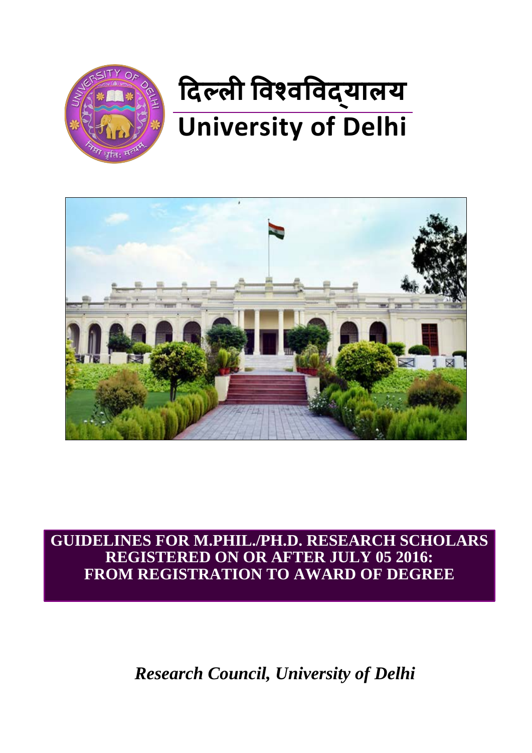



**GUIDELINES FOR M.PHIL./PH.D. RESEARCH SCHOLARS REGISTERED ON OR AFTER JULY 05 2016: FROM REGISTRATION TO AWARD OF DEGREE**

*Research Council, University of Delhi*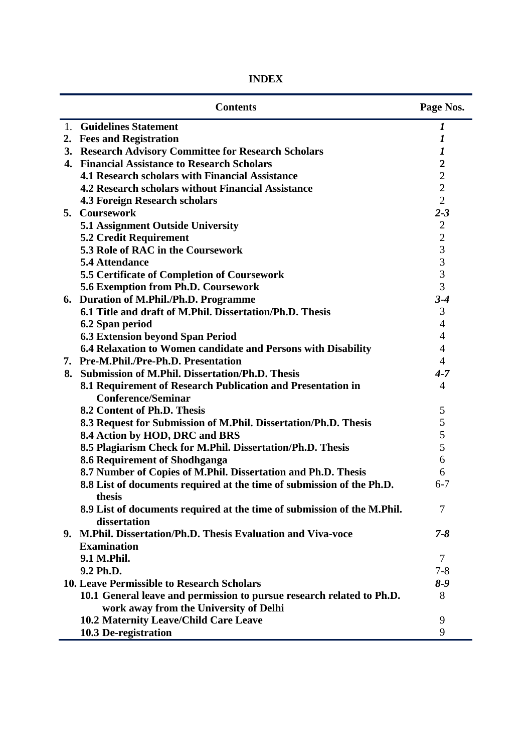| <b>INDEX</b> |
|--------------|
|--------------|

|    | <b>Contents</b>                                                                         | Page Nos.                |
|----|-----------------------------------------------------------------------------------------|--------------------------|
| 1. | <b>Guidelines Statement</b>                                                             | 1                        |
|    | 2. Fees and Registration                                                                | $\boldsymbol{l}$         |
|    | 3. Research Advisory Committee for Research Scholars                                    | 1                        |
|    | 4. Financial Assistance to Research Scholars                                            | $\boldsymbol{2}$         |
|    | <b>4.1 Research scholars with Financial Assistance</b>                                  | $\overline{2}$           |
|    | <b>4.2 Research scholars without Financial Assistance</b>                               | $\overline{2}$           |
|    | <b>4.3 Foreign Research scholars</b>                                                    | $\overline{2}$           |
|    | 5. Coursework                                                                           | $2 - 3$                  |
|    | <b>5.1 Assignment Outside University</b>                                                | $\overline{2}$           |
|    | <b>5.2 Credit Requirement</b>                                                           | $\overline{2}$           |
|    | 5.3 Role of RAC in the Coursework                                                       | $\overline{3}$           |
|    | 5.4 Attendance                                                                          | 3                        |
|    | 5.5 Certificate of Completion of Coursework                                             | 3                        |
|    | 5.6 Exemption from Ph.D. Coursework                                                     | $\overline{3}$           |
|    | 6. Duration of M.Phil./Ph.D. Programme                                                  | $3 - 4$                  |
|    | 6.1 Title and draft of M.Phil. Dissertation/Ph.D. Thesis                                | 3                        |
|    | 6.2 Span period                                                                         | $\overline{4}$           |
|    | <b>6.3 Extension beyond Span Period</b>                                                 | $\overline{4}$           |
|    | 6.4 Relaxation to Women candidate and Persons with Disability                           | $\overline{4}$           |
|    | 7. Pre-M.Phil./Pre-Ph.D. Presentation                                                   | $\overline{4}$           |
| 8. | <b>Submission of M.Phil. Dissertation/Ph.D. Thesis</b>                                  | $4 - 7$                  |
|    | 8.1 Requirement of Research Publication and Presentation in                             | $\overline{4}$           |
|    | <b>Conference/Seminar</b>                                                               |                          |
|    | 8.2 Content of Ph.D. Thesis                                                             | 5                        |
|    | 8.3 Request for Submission of M.Phil. Dissertation/Ph.D. Thesis                         | $\mathfrak s$            |
|    | 8.4 Action by HOD, DRC and BRS                                                          | 5                        |
|    | 8.5 Plagiarism Check for M.Phil. Dissertation/Ph.D. Thesis                              | 5                        |
|    | 8.6 Requirement of Shodhganga                                                           | 6                        |
|    | 8.7 Number of Copies of M.Phil. Dissertation and Ph.D. Thesis                           | 6                        |
|    | 8.8 List of documents required at the time of submission of the Ph.D.<br>thesis         | $6 - 7$                  |
|    | 8.9 List of documents required at the time of submission of the M.Phil.<br>dissertation | 7                        |
|    | 9. M.Phil. Dissertation/Ph.D. Thesis Evaluation and Viva-voce                           | $7 - 8$                  |
|    | <b>Examination</b>                                                                      |                          |
|    | 9.1 M.Phil.                                                                             | $\overline{\mathcal{L}}$ |
|    | 9.2 Ph.D.                                                                               | $7 - 8$                  |
|    | 10. Leave Permissible to Research Scholars                                              | $8 - 9$                  |
|    | 10.1 General leave and permission to pursue research related to Ph.D.                   | 8                        |
|    | work away from the University of Delhi                                                  |                          |
|    | 10.2 Maternity Leave/Child Care Leave                                                   | 9                        |
|    | 10.3 De-registration                                                                    | 9                        |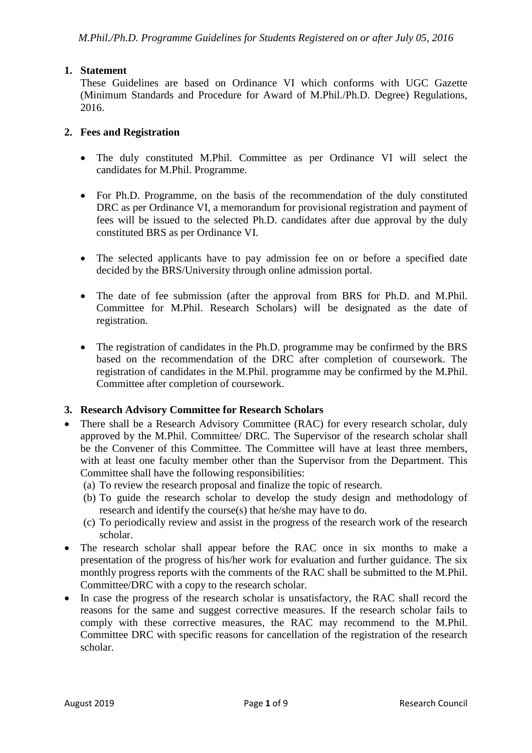# **1. Statement**

These Guidelines are based on Ordinance VI which conforms with UGC Gazette (Minimum Standards and Procedure for Award of M.Phil./Ph.D. Degree) Regulations, 2016.

#### **2. Fees and Registration**

- The duly constituted M.Phil. Committee as per Ordinance VI will select the candidates for M.Phil. Programme.
- For Ph.D. Programme, on the basis of the recommendation of the duly constituted DRC as per Ordinance VI, a memorandum for provisional registration and payment of fees will be issued to the selected Ph.D. candidates after due approval by the duly constituted BRS as per Ordinance VI.
- The selected applicants have to pay admission fee on or before a specified date decided by the BRS/University through online admission portal.
- The date of fee submission (after the approval from BRS for Ph.D. and M.Phil. Committee for M.Phil. Research Scholars) will be designated as the date of registration.
- The registration of candidates in the Ph.D. programme may be confirmed by the BRS based on the recommendation of the DRC after completion of coursework. The registration of candidates in the M.Phil. programme may be confirmed by the M.Phil. Committee after completion of coursework.

# **3. Research Advisory Committee for Research Scholars**

- There shall be a Research Advisory Committee (RAC) for every research scholar, duly approved by the M.Phil. Committee/ DRC. The Supervisor of the research scholar shall be the Convener of this Committee. The Committee will have at least three members, with at least one faculty member other than the Supervisor from the Department. This Committee shall have the following responsibilities:
	- (a) To review the research proposal and finalize the topic of research.
	- (b) To guide the research scholar to develop the study design and methodology of research and identify the course(s) that he/she may have to do.
	- (c) To periodically review and assist in the progress of the research work of the research scholar.
- The research scholar shall appear before the RAC once in six months to make a presentation of the progress of his/her work for evaluation and further guidance. The six monthly progress reports with the comments of the RAC shall be submitted to the M.Phil. Committee/DRC with a copy to the research scholar.
- In case the progress of the research scholar is unsatisfactory, the RAC shall record the reasons for the same and suggest corrective measures. If the research scholar fails to comply with these corrective measures, the RAC may recommend to the M.Phil. Committee DRC with specific reasons for cancellation of the registration of the research scholar.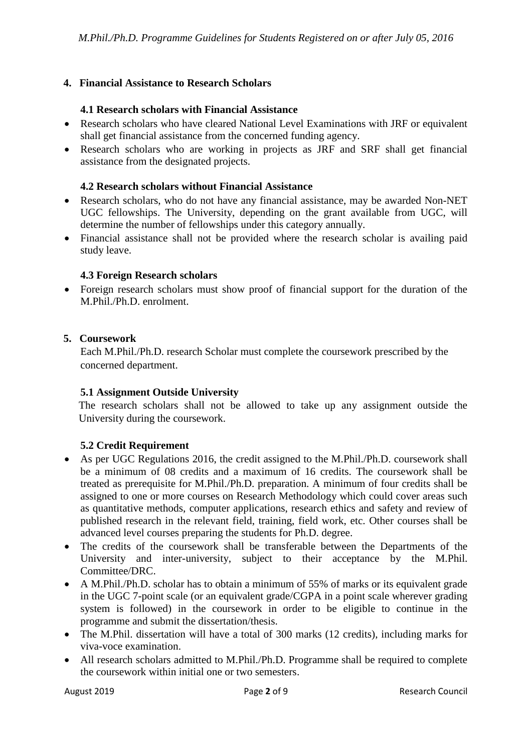### **4. Financial Assistance to Research Scholars**

#### **4.1 Research scholars with Financial Assistance**

- Research scholars who have cleared National Level Examinations with JRF or equivalent shall get financial assistance from the concerned funding agency.
- Research scholars who are working in projects as JRF and SRF shall get financial assistance from the designated projects.

#### **4.2 Research scholars without Financial Assistance**

- Research scholars, who do not have any financial assistance, may be awarded Non-NET UGC fellowships. The University, depending on the grant available from UGC, will determine the number of fellowships under this category annually.
- Financial assistance shall not be provided where the research scholar is availing paid study leave.

#### **4.3 Foreign Research scholars**

• Foreign research scholars must show proof of financial support for the duration of the M.Phil./Ph.D. enrolment.

#### **5. Coursework**

Each M.Phil./Ph.D. research Scholar must complete the coursework prescribed by the concerned department.

#### **5.1 Assignment Outside University**

The research scholars shall not be allowed to take up any assignment outside the University during the coursework.

# **5.2 Credit Requirement**

- As per UGC Regulations 2016, the credit assigned to the M.Phil./Ph.D. coursework shall be a minimum of 08 credits and a maximum of 16 credits. The coursework shall be treated as prerequisite for M.Phil./Ph.D. preparation. A minimum of four credits shall be assigned to one or more courses on Research Methodology which could cover areas such as quantitative methods, computer applications, research ethics and safety and review of published research in the relevant field, training, field work, etc. Other courses shall be advanced level courses preparing the students for Ph.D. degree.
- The credits of the coursework shall be transferable between the Departments of the University and inter-university, subject to their acceptance by the M.Phil. Committee/DRC.
- A M.Phil./Ph.D. scholar has to obtain a minimum of 55% of marks or its equivalent grade in the UGC 7-point scale (or an equivalent grade/CGPA in a point scale wherever grading system is followed) in the coursework in order to be eligible to continue in the programme and submit the dissertation/thesis.
- The M.Phil. dissertation will have a total of 300 marks (12 credits), including marks for viva-voce examination.
- All research scholars admitted to M.Phil./Ph.D. Programme shall be required to complete the coursework within initial one or two semesters.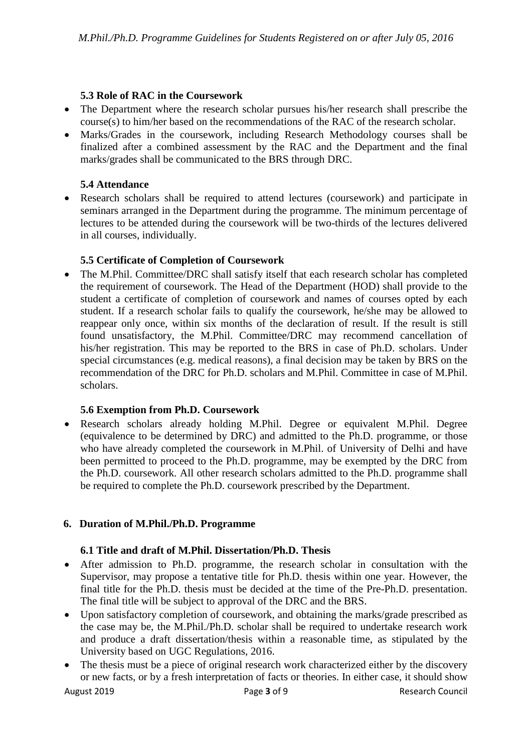### **5.3 Role of RAC in the Coursework**

- The Department where the research scholar pursues his/her research shall prescribe the course(s) to him/her based on the recommendations of the RAC of the research scholar.
- Marks/Grades in the coursework, including Research Methodology courses shall be finalized after a combined assessment by the RAC and the Department and the final marks/grades shall be communicated to the BRS through DRC.

### **5.4 Attendance**

• Research scholars shall be required to attend lectures (coursework) and participate in seminars arranged in the Department during the programme. The minimum percentage of lectures to be attended during the coursework will be two-thirds of the lectures delivered in all courses, individually.

#### **5.5 Certificate of Completion of Coursework**

• The M.Phil. Committee/DRC shall satisfy itself that each research scholar has completed the requirement of coursework. The Head of the Department (HOD) shall provide to the student a certificate of completion of coursework and names of courses opted by each student. If a research scholar fails to qualify the coursework, he/she may be allowed to reappear only once, within six months of the declaration of result. If the result is still found unsatisfactory, the M.Phil. Committee/DRC may recommend cancellation of his/her registration. This may be reported to the BRS in case of Ph.D. scholars. Under special circumstances (e.g. medical reasons), a final decision may be taken by BRS on the recommendation of the DRC for Ph.D. scholars and M.Phil. Committee in case of M.Phil. scholars.

#### **5.6 Exemption from Ph.D. Coursework**

• Research scholars already holding M.Phil. Degree or equivalent M.Phil. Degree (equivalence to be determined by DRC) and admitted to the Ph.D. programme, or those who have already completed the coursework in M.Phil. of University of Delhi and have been permitted to proceed to the Ph.D. programme, may be exempted by the DRC from the Ph.D. coursework. All other research scholars admitted to the Ph.D. programme shall be required to complete the Ph.D. coursework prescribed by the Department.

#### **6. Duration of M.Phil./Ph.D. Programme**

# **6.1 Title and draft of M.Phil. Dissertation/Ph.D. Thesis**

- After admission to Ph.D. programme, the research scholar in consultation with the Supervisor, may propose a tentative title for Ph.D. thesis within one year. However, the final title for the Ph.D. thesis must be decided at the time of the Pre-Ph.D. presentation. The final title will be subject to approval of the DRC and the BRS.
- Upon satisfactory completion of coursework, and obtaining the marks/grade prescribed as the case may be, the M.Phil./Ph.D. scholar shall be required to undertake research work and produce a draft dissertation/thesis within a reasonable time, as stipulated by the University based on UGC Regulations, 2016.
- The thesis must be a piece of original research work characterized either by the discovery or new facts, or by a fresh interpretation of facts or theories. In either case, it should show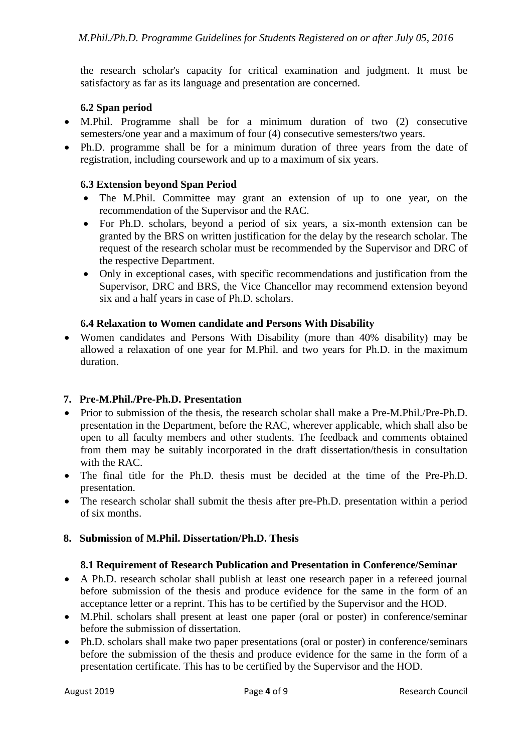the research scholar's capacity for critical examination and judgment. It must be satisfactory as far as its language and presentation are concerned.

# **6.2 Span period**

- M.Phil. Programme shall be for a minimum duration of two (2) consecutive semesters/one year and a maximum of four (4) consecutive semesters/two years.
- Ph.D. programme shall be for a minimum duration of three years from the date of registration, including coursework and up to a maximum of six years.

# **6.3 Extension beyond Span Period**

- The M.Phil. Committee may grant an extension of up to one year, on the recommendation of the Supervisor and the RAC.
- For Ph.D. scholars, beyond a period of six years, a six-month extension can be granted by the BRS on written justification for the delay by the research scholar. The request of the research scholar must be recommended by the Supervisor and DRC of the respective Department.
- Only in exceptional cases, with specific recommendations and justification from the Supervisor, DRC and BRS, the Vice Chancellor may recommend extension beyond six and a half years in case of Ph.D. scholars.

# **6.4 Relaxation to Women candidate and Persons With Disability**

• Women candidates and Persons With Disability (more than 40% disability) may be allowed a relaxation of one year for M.Phil. and two years for Ph.D. in the maximum duration.

# **7. Pre-M.Phil./Pre-Ph.D. Presentation**

- Prior to submission of the thesis, the research scholar shall make a Pre-M.Phil./Pre-Ph.D. presentation in the Department, before the RAC, wherever applicable, which shall also be open to all faculty members and other students. The feedback and comments obtained from them may be suitably incorporated in the draft dissertation/thesis in consultation with the RAC.
- The final title for the Ph.D. thesis must be decided at the time of the Pre-Ph.D. presentation.
- The research scholar shall submit the thesis after pre-Ph.D. presentation within a period of six months.

# **8. Submission of M.Phil. Dissertation/Ph.D. Thesis**

#### **8.1 Requirement of Research Publication and Presentation in Conference/Seminar**

- A Ph.D. research scholar shall publish at least one research paper in a refereed journal before submission of the thesis and produce evidence for the same in the form of an acceptance letter or a reprint. This has to be certified by the Supervisor and the HOD.
- M.Phil. scholars shall present at least one paper (oral or poster) in conference/seminar before the submission of dissertation.
- Ph.D. scholars shall make two paper presentations (oral or poster) in conference/seminars before the submission of the thesis and produce evidence for the same in the form of a presentation certificate. This has to be certified by the Supervisor and the HOD.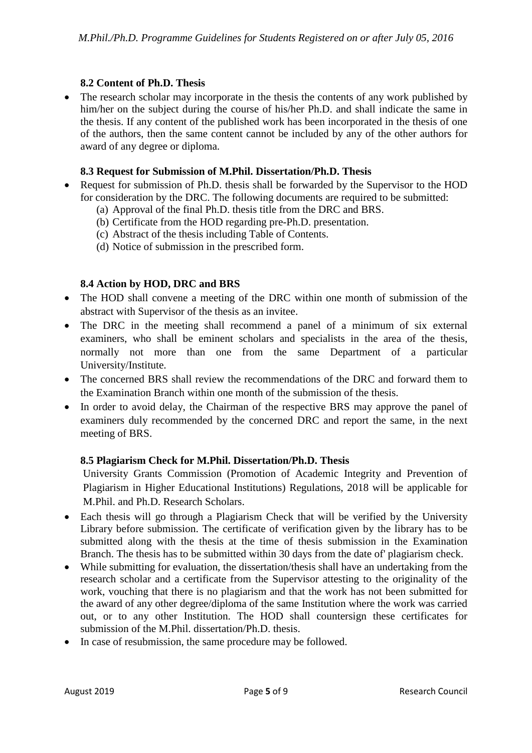# **8.2 Content of Ph.D. Thesis**

• The research scholar may incorporate in the thesis the contents of any work published by him/her on the subject during the course of his/her Ph.D. and shall indicate the same in the thesis. If any content of the published work has been incorporated in the thesis of one of the authors, then the same content cannot be included by any of the other authors for award of any degree or diploma.

### **8.3 Request for Submission of M.Phil. Dissertation/Ph.D. Thesis**

- Request for submission of Ph.D. thesis shall be forwarded by the Supervisor to the HOD for consideration by the DRC. The following documents are required to be submitted:
	- (a) Approval of the final Ph.D. thesis title from the DRC and BRS.
	- (b) Certificate from the HOD regarding pre-Ph.D. presentation.
	- (c) Abstract of the thesis including Table of Contents.
	- (d) Notice of submission in the prescribed form.

# **8.4 Action by HOD, DRC and BRS**

- The HOD shall convene a meeting of the DRC within one month of submission of the abstract with Supervisor of the thesis as an invitee.
- The DRC in the meeting shall recommend a panel of a minimum of six external examiners, who shall be eminent scholars and specialists in the area of the thesis, normally not more than one from the same Department of a particular University/Institute.
- The concerned BRS shall review the recommendations of the DRC and forward them to the Examination Branch within one month of the submission of the thesis.
- In order to avoid delay, the Chairman of the respective BRS may approve the panel of examiners duly recommended by the concerned DRC and report the same, in the next meeting of BRS.

# **8.5 Plagiarism Check for M.Phil. Dissertation/Ph.D. Thesis**

University Grants Commission (Promotion of Academic Integrity and Prevention of Plagiarism in Higher Educational Institutions) Regulations, 2018 will be applicable for M.Phil. and Ph.D. Research Scholars.

- Each thesis will go through a Plagiarism Check that will be verified by the University Library before submission. The certificate of verification given by the library has to be submitted along with the thesis at the time of thesis submission in the Examination Branch. The thesis has to be submitted within 30 days from the date of' plagiarism check.
- While submitting for evaluation, the dissertation/thesis shall have an undertaking from the research scholar and a certificate from the Supervisor attesting to the originality of the work, vouching that there is no plagiarism and that the work has not been submitted for the award of any other degree/diploma of the same Institution where the work was carried out, or to any other Institution. The HOD shall countersign these certificates for submission of the M.Phil. dissertation/Ph.D. thesis.
- In case of resubmission, the same procedure may be followed.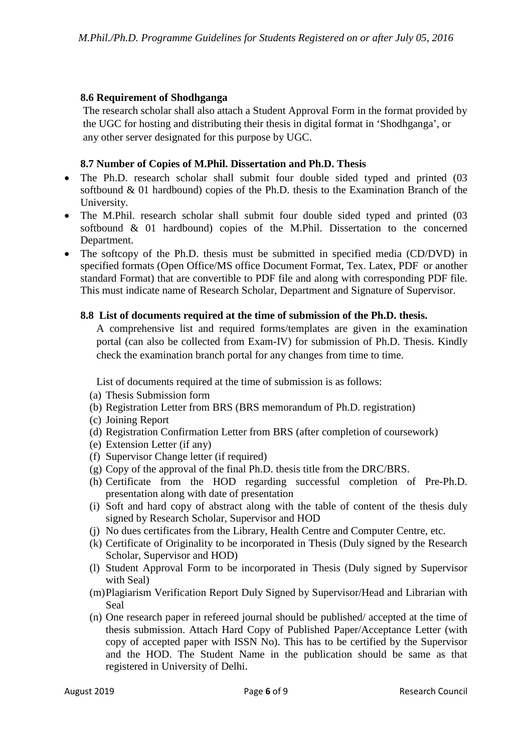# **8.6 Requirement of Shodhganga**

The research scholar shall also attach a Student Approval Form in the format provided by the UGC for hosting and distributing their thesis in digital format in 'Shodhganga', or any other server designated for this purpose by UGC.

### **8.7 Number of Copies of M.Phil. Dissertation and Ph.D. Thesis**

- The Ph.D. research scholar shall submit four double sided typed and printed (03) softbound & 01 hardbound) copies of the Ph.D. thesis to the Examination Branch of the University.
- The M.Phil. research scholar shall submit four double sided typed and printed (03) softbound & 01 hardbound) copies of the M.Phil. Dissertation to the concerned Department.
- The softcopy of the Ph.D. thesis must be submitted in specified media (CD/DVD) in specified formats (Open Office/MS office Document Format, Tex. Latex, PDF or another standard Format) that are convertible to PDF file and along with corresponding PDF file. This must indicate name of Research Scholar, Department and Signature of Supervisor.

#### **8.8 List of documents required at the time of submission of the Ph.D. thesis.**

A comprehensive list and required forms/templates are given in the examination portal (can also be collected from Exam-IV) for submission of Ph.D. Thesis. Kindly check the examination branch portal for any changes from time to time.

List of documents required at the time of submission is as follows:

- (a) Thesis Submission form
- (b) Registration Letter from BRS (BRS memorandum of Ph.D. registration)
- (c) Joining Report
- (d) Registration Confirmation Letter from BRS (after completion of coursework)
- (e) Extension Letter (if any)
- (f) Supervisor Change letter (if required)
- (g) Copy of the approval of the final Ph.D. thesis title from the DRC/BRS.
- (h) Certificate from the HOD regarding successful completion of Pre-Ph.D. presentation along with date of presentation
- (i) Soft and hard copy of abstract along with the table of content of the thesis duly signed by Research Scholar, Supervisor and HOD
- (j) No dues certificates from the Library, Health Centre and Computer Centre, etc.
- (k) Certificate of Originality to be incorporated in Thesis (Duly signed by the Research Scholar, Supervisor and HOD)
- (l) Student Approval Form to be incorporated in Thesis (Duly signed by Supervisor with Seal)
- (m)Plagiarism Verification Report Duly Signed by Supervisor/Head and Librarian with Seal
- (n) One research paper in refereed journal should be published/ accepted at the time of thesis submission. Attach Hard Copy of Published Paper/Acceptance Letter (with copy of accepted paper with ISSN No). This has to be certified by the Supervisor and the HOD. The Student Name in the publication should be same as that registered in University of Delhi.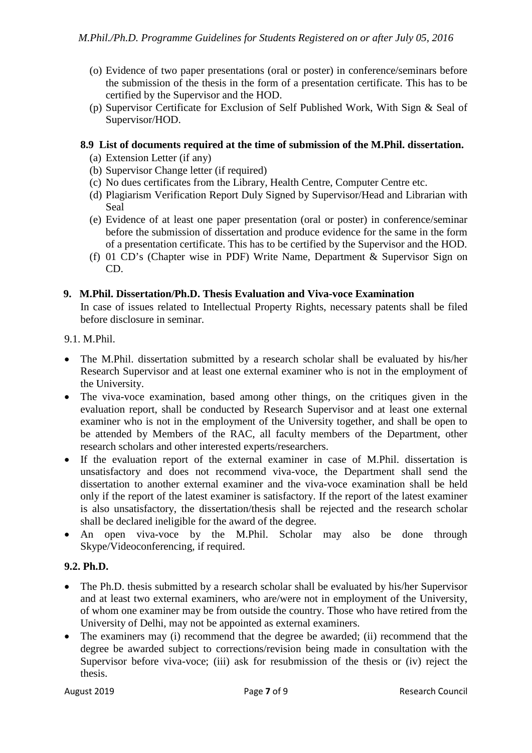- (o) Evidence of two paper presentations (oral or poster) in conference/seminars before the submission of the thesis in the form of a presentation certificate. This has to be certified by the Supervisor and the HOD.
- (p) Supervisor Certificate for Exclusion of Self Published Work, With Sign & Seal of Supervisor/HOD.

### **8.9 List of documents required at the time of submission of the M.Phil. dissertation.**

- (a) Extension Letter (if any)
- (b) Supervisor Change letter (if required)
- (c) No dues certificates from the Library, Health Centre, Computer Centre etc.
- (d) Plagiarism Verification Report Duly Signed by Supervisor/Head and Librarian with Seal
- (e) Evidence of at least one paper presentation (oral or poster) in conference/seminar before the submission of dissertation and produce evidence for the same in the form of a presentation certificate. This has to be certified by the Supervisor and the HOD.
- (f) 01 CD's (Chapter wise in PDF) Write Name, Department & Supervisor Sign on CD.

#### **9. M.Phil. Dissertation/Ph.D. Thesis Evaluation and Viva-voce Examination**

In case of issues related to Intellectual Property Rights, necessary patents shall be filed before disclosure in seminar.

9.1. M.Phil.

- The M.Phil. dissertation submitted by a research scholar shall be evaluated by his/her Research Supervisor and at least one external examiner who is not in the employment of the University.
- The viva-voce examination, based among other things, on the critiques given in the evaluation report, shall be conducted by Research Supervisor and at least one external examiner who is not in the employment of the University together, and shall be open to be attended by Members of the RAC, all faculty members of the Department, other research scholars and other interested experts/researchers.
- If the evaluation report of the external examiner in case of M.Phil. dissertation is unsatisfactory and does not recommend viva-voce, the Department shall send the dissertation to another external examiner and the viva-voce examination shall be held only if the report of the latest examiner is satisfactory. If the report of the latest examiner is also unsatisfactory, the dissertation/thesis shall be rejected and the research scholar shall be declared ineligible for the award of the degree.
- An open viva-voce by the M.Phil. Scholar may also be done through Skype/Videoconferencing, if required.

# **9.2. Ph.D.**

- The Ph.D. thesis submitted by a research scholar shall be evaluated by his/her Supervisor and at least two external examiners, who are/were not in employment of the University, of whom one examiner may be from outside the country. Those who have retired from the University of Delhi, may not be appointed as external examiners.
- The examiners may (i) recommend that the degree be awarded; (ii) recommend that the degree be awarded subject to corrections/revision being made in consultation with the Supervisor before viva-voce; (iii) ask for resubmission of the thesis or (iv) reject the thesis.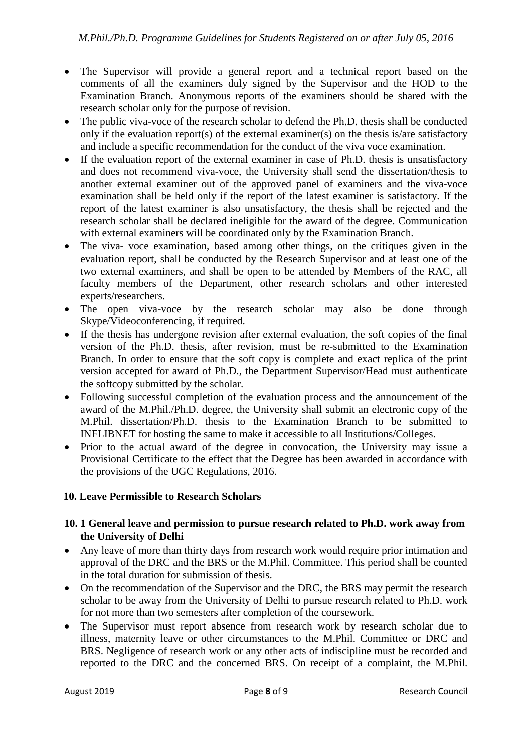- The Supervisor will provide a general report and a technical report based on the comments of all the examiners duly signed by the Supervisor and the HOD to the Examination Branch. Anonymous reports of the examiners should be shared with the research scholar only for the purpose of revision.
- The public viva-voce of the research scholar to defend the Ph.D. thesis shall be conducted only if the evaluation report(s) of the external examiner(s) on the thesis is/are satisfactory and include a specific recommendation for the conduct of the viva voce examination.
- If the evaluation report of the external examiner in case of Ph.D. thesis is unsatisfactory and does not recommend viva-voce, the University shall send the dissertation/thesis to another external examiner out of the approved panel of examiners and the viva-voce examination shall be held only if the report of the latest examiner is satisfactory. If the report of the latest examiner is also unsatisfactory, the thesis shall be rejected and the research scholar shall be declared ineligible for the award of the degree. Communication with external examiners will be coordinated only by the Examination Branch.
- The viva- voce examination, based among other things, on the critiques given in the evaluation report, shall be conducted by the Research Supervisor and at least one of the two external examiners, and shall be open to be attended by Members of the RAC, all faculty members of the Department, other research scholars and other interested experts/researchers.
- The open viva-voce by the research scholar may also be done through Skype/Videoconferencing, if required.
- If the thesis has undergone revision after external evaluation, the soft copies of the final version of the Ph.D. thesis, after revision, must be re-submitted to the Examination Branch. In order to ensure that the soft copy is complete and exact replica of the print version accepted for award of Ph.D., the Department Supervisor/Head must authenticate the softcopy submitted by the scholar.
- Following successful completion of the evaluation process and the announcement of the award of the M.Phil./Ph.D. degree, the University shall submit an electronic copy of the M.Phil. dissertation/Ph.D. thesis to the Examination Branch to be submitted to INFLIBNET for hosting the same to make it accessible to all Institutions/Colleges.
- Prior to the actual award of the degree in convocation, the University may issue a Provisional Certificate to the effect that the Degree has been awarded in accordance with the provisions of the UGC Regulations, 2016.

# **10. Leave Permissible to Research Scholars**

#### **10. 1 General leave and permission to pursue research related to Ph.D. work away from the University of Delhi**

- Any leave of more than thirty days from research work would require prior intimation and approval of the DRC and the BRS or the M.Phil. Committee. This period shall be counted in the total duration for submission of thesis.
- On the recommendation of the Supervisor and the DRC, the BRS may permit the research scholar to be away from the University of Delhi to pursue research related to Ph.D. work for not more than two semesters after completion of the coursework.
- The Supervisor must report absence from research work by research scholar due to illness, maternity leave or other circumstances to the M.Phil. Committee or DRC and BRS. Negligence of research work or any other acts of indiscipline must be recorded and reported to the DRC and the concerned BRS. On receipt of a complaint, the M.Phil.